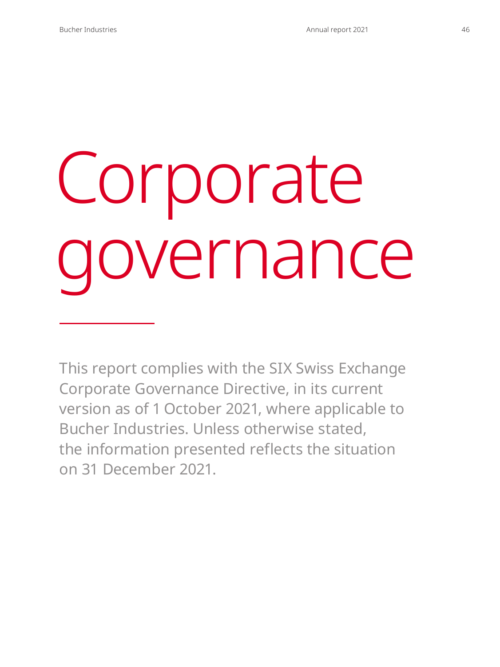# Corporate governance

This report complies with the SIX Swiss Exchange Corporate Governance Directive, in its current version as of 1 October 2021, where applicable to Bucher Industries. Unless otherwise stated, the information presented reflects the situation on 31 December 2021.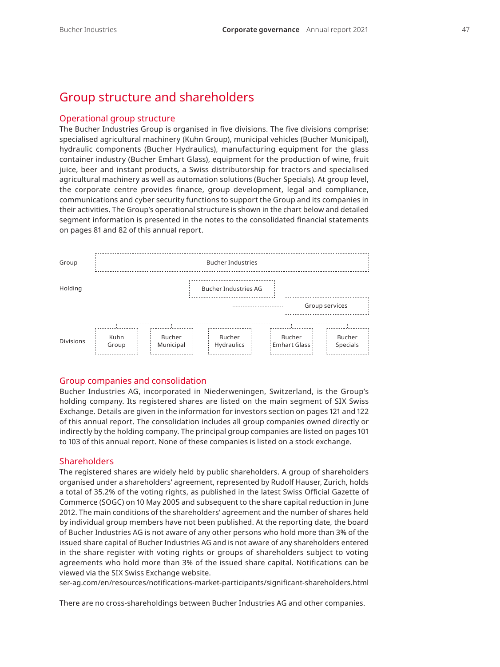## Group structure and shareholders

#### Operational group structure

The Bucher Industries Group is organised in five divisions. The five divisions comprise: specialised agricultural machinery (Kuhn Group), municipal vehicles (Bucher Municipal), hydraulic components (Bucher Hydraulics), manufacturing equipment for the glass container industry (Bucher Emhart Glass), equipment for the production of wine, fruit juice, beer and instant products, a Swiss distributorship for tractors and specialised agricultural machinery as well as automation solutions (Bucher Specials). At group level, the corporate centre provides finance, group development, legal and compliance, communications and cyber security functions to support the Group and its companies in their activities. The Group's operational structure is shown in the chart below and detailed segment information is presented in the notes to the consolidated financial statements on pages 81 and 82 of this annual report.



#### Group companies and consolidation

Bucher Industries AG, incorporated in Niederweningen, Switzerland, is the Group's holding company. Its registered shares are listed on the main segment of SIX Swiss Exchange. Details are given in the information for investors section on pages 121 and 122 of this annual report. The consolidation includes all group companies owned directly or indirectly by the holding company. The principal group companies are listed on pages 101 to 103 of this annual report. None of these companies is listed on a stock exchange.

#### **Shareholders**

The registered shares are widely held by public shareholders. A group of shareholders organised under a shareholders' agreement, represented by Rudolf Hauser, Zurich, holds a total of 35.2% of the voting rights, as published in the latest Swiss Official Gazette of Commerce (SOGC) on 10 May 2005 and subsequent to the share capital reduction in June 2012. The main conditions of the shareholders' agreement and the number of shares held by individual group members have not been published. At the reporting date, the board of Bucher Industries AG is not aware of any other persons who hold more than 3% of the issued share capital of Bucher Industries AG and is not aware of any shareholders entered in the share register with voting rights or groups of shareholders subject to voting agreements who hold more than 3% of the issued share capital. Notifications can be viewed via the SIX Swiss Exchange website.

[ser-ag.com/en/resources/notifications-market-participants/significant-shareholders.html](https://www.ser-ag.com/en/resources/notifications-market-participants/significant-shareholders.html/)

There are no cross-shareholdings between Bucher Industries AG and other companies.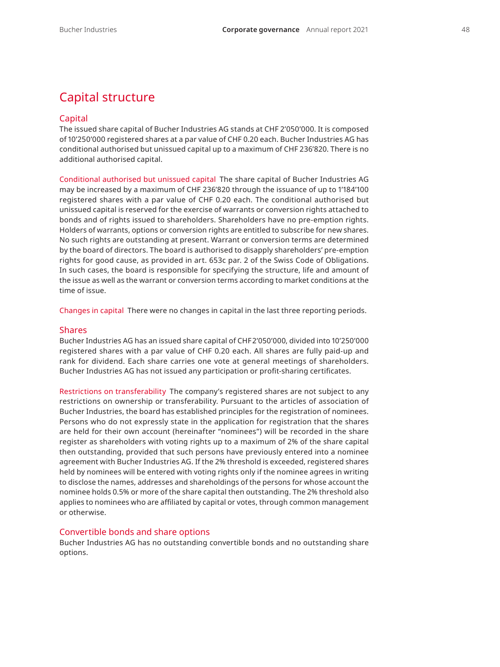# Capital structure

#### Capital

The issued share capital of Bucher Industries AG stands at CHF 2'050'000. It is composed of 10'250'000 registered shares at a par value of CHF 0.20 each. Bucher Industries AG has conditional authorised but unissued capital up to a maximum of CHF 236'820. There is no additional authorised capital.

Conditional authorised but unissued capital The share capital of Bucher Industries AG may be increased by a maximum of CHF 236'820 through the issuance of up to 1'184'100 registered shares with a par value of CHF 0.20 each. The conditional authorised but unissued capital is reserved for the exercise of warrants or conversion rights attached to bonds and of rights issued to shareholders. Shareholders have no pre-emption rights. Holders of warrants, options or conversion rights are entitled to subscribe for new shares. No such rights are outstanding at present. Warrant or conversion terms are determined by the board of directors. The board is authorised to disapply shareholders' pre-emption rights for good cause, as provided in art. 653c par. 2 of the Swiss Code of Obligations. In such cases, the board is responsible for specifying the structure, life and amount of the issue as well as the warrant or conversion terms according to market conditions at the time of issue.

Changes in capital There were no changes in capital in the last three reporting periods.

#### Shares

Bucher Industries AG has an issued share capital of CHF2'050'000, divided into 10'250'000 registered shares with a par value of CHF 0.20 each. All shares are fully paid-up and rank for dividend. Each share carries one vote at general meetings of shareholders. Bucher Industries AG has not issued any participation or profit-sharing certificates.

Restrictions on transferability The company's registered shares are not subject to any restrictions on ownership or transferability. Pursuant to the articles of association of Bucher Industries, the board has established principles for the registration of nominees. Persons who do not expressly state in the application for registration that the shares are held for their own account (hereinafter "nominees") will be recorded in the share register as shareholders with voting rights up to a maximum of 2% of the share capital then outstanding, provided that such persons have previously entered into a nominee agreement with Bucher Industries AG. If the 2% threshold is exceeded, registered shares held by nominees will be entered with voting rights only if the nominee agrees in writing to disclose the names, addresses and shareholdings of the persons for whose account the nominee holds 0.5% or more of the share capital then outstanding. The 2% threshold also applies to nominees who are affiliated by capital or votes, through common management or otherwise.

#### Convertible bonds and share options

Bucher Industries AG has no outstanding convertible bonds and no outstanding share options.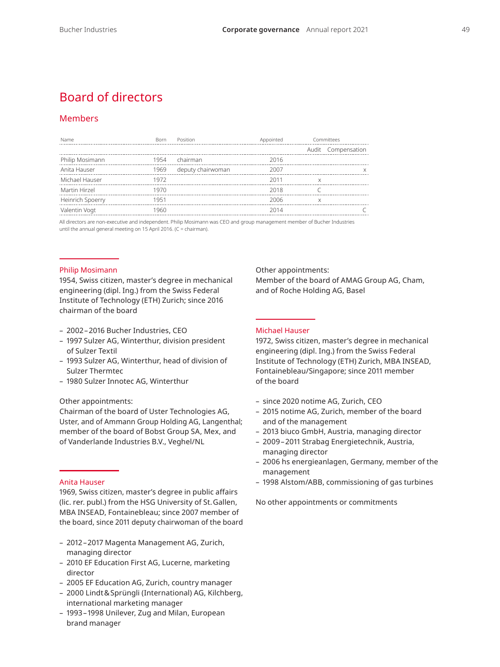# Board of directors

## Members

| Name             | <b>Born</b> | Position          | Appointed | Committees         |  |
|------------------|-------------|-------------------|-----------|--------------------|--|
|                  |             |                   |           | Audit Compensation |  |
| Philip Mosimann  | 1954        | chairman          | 2016      |                    |  |
| Anita Hauser     | 1969        | deputy chairwoman | 2007      |                    |  |
| Michael Hauser   | 1972        |                   | 2011      |                    |  |
| Martin Hirzel    | 1970        |                   | 2018      |                    |  |
| Heinrich Spoerry | 1951        |                   | 2006      |                    |  |
| Valentin Vogt    | 1960        |                   | 2014      |                    |  |
|                  |             |                   |           |                    |  |

All directors are non-executive and independent. Philip Mosimann was CEO and group management member of Bucher Industries until the annual general meeting on 15 April 2016. (C = chairman).

#### Philip Mosimann

1954, Swiss citizen, master's degree in mechanical engineering (dipl. Ing.) from the Swiss Federal Institute of Technology (ETH) Zurich; since 2016 chairman of the board

- 2002–2016 Bucher Industries, CEO
- 1997 Sulzer AG, Winterthur, division president of Sulzer Textil
- 1993 Sulzer AG, Winterthur, head of division of Sulzer Thermtec
- 1980 Sulzer Innotec AG, Winterthur

#### Other appointments:

Chairman of the board of Uster Technologies AG, Uster, and of Ammann Group Holding AG, Langenthal; member of the board of Bobst Group SA, Mex, and of Vanderlande Industries B.V., Veghel/NL

#### Anita Hauser

1969, Swiss citizen, master's degree in public affairs (lic. rer. publ.) from the HSG University of St.Gallen, MBA INSEAD, Fontainebleau; since 2007 member of the board, since 2011 deputy chairwoman of the board

- 2012–2017 Magenta Management AG, Zurich, managing director
- 2010 EF Education First AG, Lucerne, marketing director
- 2005 EF Education AG, Zurich, country manager
- 2000 Lindt&Sprüngli (International) AG, Kilchberg, international marketing manager
- 1993–1998 Unilever, Zug and Milan, European brand manager

Other appointments: Member of the board of AMAG Group AG, Cham, and of Roche Holding AG, Basel

#### Michael Hauser

1972, Swiss citizen, master's degree in mechanical engineering (dipl. Ing.) from the Swiss Federal Institute of Technology (ETH) Zurich, MBA INSEAD, Fontainebleau/Singapore; since 2011 member of the board

- since 2020 notime AG, Zurich, CEO
- 2015 notime AG, Zurich, member of the board and of the management
- 2013 biuco GmbH, Austria, managing director
- 2009–2011 Strabag Energietechnik, Austria, managing director
- 2006 hs energieanlagen, Germany, member of the management
- 1998 Alstom/ABB, commissioning of gas turbines

No other appointments or commitments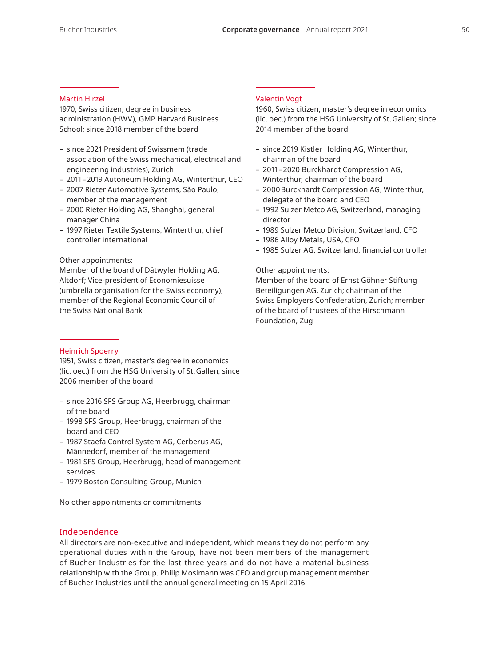#### Martin Hirzel

1970, Swiss citizen, degree in business administration (HWV), GMP Harvard Business School; since 2018 member of the board

- since 2021 President of Swissmem (trade association of the Swiss mechanical, electrical and engineering industries), Zurich
- 2011–2019 Autoneum Holding AG, Winterthur, CEO
- 2007 Rieter Automotive Systems, São Paulo, member of the management
- 2000 Rieter Holding AG, Shanghai, general manager China
- 1997 Rieter Textile Systems, Winterthur, chief controller international

#### Other appointments:

Member of the board of Dätwyler Holding AG, Altdorf; Vice-president of Economiesuisse (umbrella organisation for the Swiss economy), member of the Regional Economic Council of the Swiss National Bank

#### Heinrich Spoerry

1951, Swiss citizen, master's degree in economics (lic. oec.) from the HSG University of St.Gallen; since 2006 member of the board

- since 2016 SFS Group AG, Heerbrugg, chairman of the board
- 1998 SFS Group, Heerbrugg, chairman of the board and CEO
- 1987 Staefa Control System AG, Cerberus AG, Männedorf, member of the management
- 1981 SFS Group, Heerbrugg, head of management services
- 1979 Boston Consulting Group, Munich

No other appointments or commitments

## Independence

All directors are non-executive and independent, which means they do not perform any operational duties within the Group, have not been members of the management of Bucher Industries for the last three years and do not have a material business relationship with the Group. Philip Mosimann was CEO and group management member of Bucher Industries until the annual general meeting on 15 April 2016.

#### Valentin Vogt

1960, Swiss citizen, master's degree in economics (lic. oec.) from the HSG University of St.Gallen; since 2014 member of the board

- since 2019 Kistler Holding AG, Winterthur, chairman of the board
- 2011–2020 Burckhardt Compression AG, Winterthur, chairman of the board
- 2000Burckhardt Compression AG, Winterthur, delegate of the board and CEO
- 1992 Sulzer Metco AG, Switzerland, managing director
- 1989 Sulzer Metco Division, Switzerland, CFO
- 1986 Alloy Metals, USA, CFO
- 1985 Sulzer AG, Switzerland, financial controller

#### Other appointments:

Member of the board of Ernst Göhner Stiftung Beteiligungen AG, Zurich; chairman of the Swiss Employers Confederation, Zurich; member of the board of trustees of the Hirschmann Foundation, Zug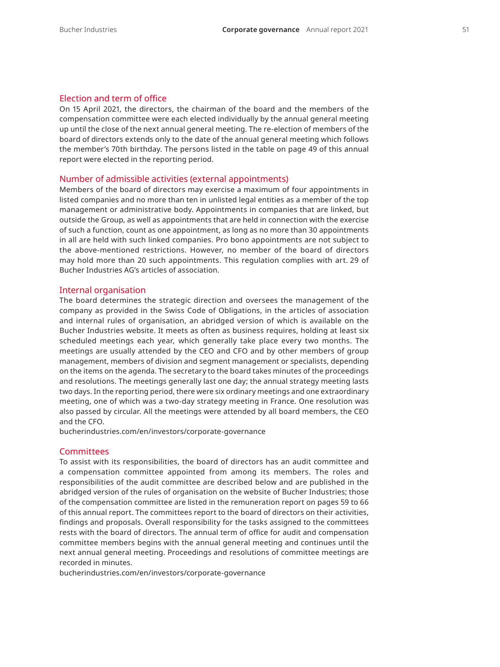#### Election and term of office

On 15 April 2021, the directors, the chairman of the board and the members of the compensation committee were each elected individually by the annual general meeting up until the close of the next annual general meeting. The re-election of members of the board of directors extends only to the date of the annual general meeting which follows the member's 70th birthday. The persons listed in the table on page 49 of this annual report were elected in the reporting period.

#### Number of admissible activities (external appointments)

Members of the board of directors may exercise a maximum of four appointments in listed companies and no more than ten in unlisted legal entities as a member of the top management or administrative body. Appointments in companies that are linked, but outside the Group, as well as appointments that are held in connection with the exercise of such a function, count as one appointment, as long as no more than 30 appointments in all are held with such linked companies. Pro bono appointments are not subject to the above-mentioned restrictions. However, no member of the board of directors may hold more than 20 such appointments. This regulation complies with art. 29 of Bucher Industries AG's articles of association.

#### Internal organisation

The board determines the strategic direction and oversees the management of the company as provided in the Swiss Code of Obligations, in the articles of association and internal rules of organisation, an abridged version of which is available on the Bucher Industries website. It meets as often as business requires, holding at least six scheduled meetings each year, which generally take place every two months. The meetings are usually attended by the CEO and CFO and by other members of group management, members of division and segment management or specialists, depending on the items on the agenda. The secretary to the board takes minutes of the proceedings and resolutions. The meetings generally last one day; the annual strategy meeting lasts two days. In the reporting period, there were six ordinary meetings and one extraordinary meeting, one of which was a two-day strategy meeting in France. One resolution was also passed by circular. All the meetings were attended by all board members, the CEO and the CFO.

[bucherindustries.com/en/investors/corporate-governance](https://www.bucherindustries.com/en/investors/corporate-governance)

#### **Committees**

To assist with its responsibilities, the board of directors has an audit committee and a compensation committee appointed from among its members. The roles and responsibilities of the audit committee are described below and are published in the abridged version of the rules of organisation on the website of Bucher Industries; those of the compensation committee are listed in the remuneration report on pages 59 to 66 of this annual report. The committees report to the board of directors on their activities, findings and proposals. Overall responsibility for the tasks assigned to the committees rests with the board of directors. The annual term of office for audit and compensation committee members begins with the annual general meeting and continues until the next annual general meeting. Proceedings and resolutions of committee meetings are recorded in minutes.

[bucherindustries.com/en/investors/corporate-governance](https://www.bucherindustries.com/en/investors/corporate-governance)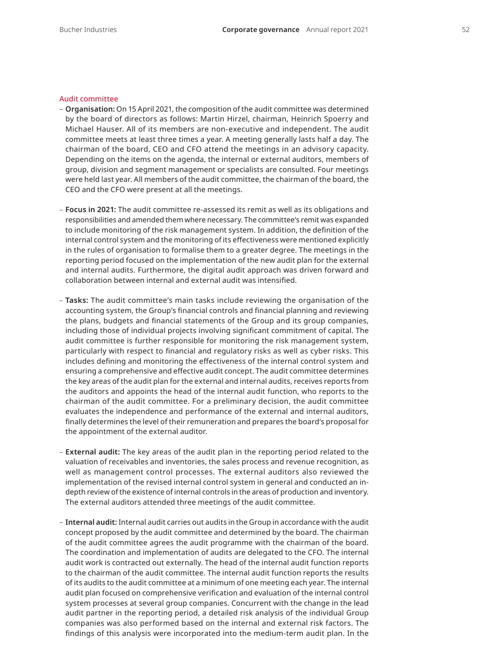#### Audit committee

- **Organisation:** On 15 April 2021, the composition of the audit committee was determined by the board of directors as follows: Martin Hirzel, chairman, Heinrich Spoerry and Michael Hauser. All of its members are non-executive and independent. The audit committee meets at least three times a year. A meeting generally lasts half a day. The chairman of the board, CEO and CFO attend the meetings in an advisory capacity. Depending on the items on the agenda, the internal or external auditors, members of group, division and segment management or specialists are consulted. Four meetings were held last year. All members of the audit committee, the chairman of the board, the CEO and the CFO were present at all the meetings.
- **Focus in 2021:** The audit committee re-assessed its remit as well as its obligations and responsibilities and amended them where necessary. The committee's remit was expanded to include monitoring of the risk management system. In addition, the definition of the internal control system and the monitoring of its effectiveness were mentioned explicitly in the rules of organisation to formalise them to a greater degree. The meetings in the reporting period focused on the implementation of the new audit plan for the external and internal audits. Furthermore, the digital audit approach was driven forward and collaboration between internal and external audit was intensified.
- **Tasks:** The audit committee's main tasks include reviewing the organisation of the accounting system, the Group's financial controls and financial planning and reviewing the plans, budgets and financial statements of the Group and its group companies, including those of individual projects involving significant commitment of capital. The audit committee is further responsible for monitoring the risk management system, particularly with respect to financial and regulatory risks as well as cyber risks. This includes defining and monitoring the effectiveness of the internal control system and ensuring a comprehensive and effective audit concept. The audit committee determines the key areas of the audit plan for the external and internal audits, receives reports from the auditors and appoints the head of the internal audit function, who reports to the chairman of the audit committee. For a preliminary decision, the audit committee evaluates the independence and performance of the external and internal auditors, finally determines the level of their remuneration and prepares the board's proposal for the appointment of the external auditor.
- **External audit:** The key areas of the audit plan in the reporting period related to the valuation of receivables and inventories, the sales process and revenue recognition, as well as management control processes. The external auditors also reviewed the implementation of the revised internal control system in general and conducted an indepth review of the existence of internal controls in the areas of production and inventory. The external auditors attended three meetings of the audit committee.
- **Internal audit:** Internal audit carries out audits in the Group in accordance with the audit concept proposed by the audit committee and determined by the board. The chairman of the audit committee agrees the audit programme with the chairman of the board. The coordination and implementation of audits are delegated to the CFO. The internal audit work is contracted out externally. The head of the internal audit function reports to the chairman of the audit committee. The internal audit function reports the results of its audits to the audit committee at a minimum of one meeting each year. The internal audit plan focused on comprehensive verification and evaluation of the internal control system processes at several group companies. Concurrent with the change in the lead audit partner in the reporting period, a detailed risk analysis of the individual Group companies was also performed based on the internal and external risk factors. The findings of this analysis were incorporated into the medium-term audit plan. In the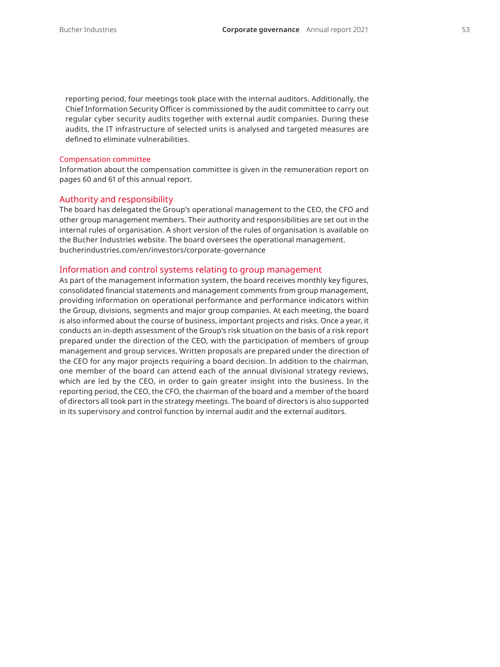reporting period, four meetings took place with the internal auditors. Additionally, the Chief Information Security Officer is commissioned by the audit committee to carry out regular cyber security audits together with external audit companies. During these audits, the IT infrastructure of selected units is analysed and targeted measures are defined to eliminate vulnerabilities.

#### Compensation committee

Information about the compensation committee is given in the remuneration report on pages 60 and 61 of this annual report.

#### Authority and responsibility

The board has delegated the Group's operational management to the CEO, the CFO and other group management members. Their authority and responsibilities are set out in the internal rules of organisation. A short version of the rules of organisation is available on the Bucher Industries website. The board oversees the operational management. [bucherindustries.com/en/investors/corporate-governance](https://www.bucherindustries.com/en/investors/corporate-governance)

#### Information and control systems relating to group management

As part of the management information system, the board receives monthly key figures, consolidated financial statements and management comments from group management, providing information on operational performance and performance indicators within the Group, divisions, segments and major group companies. At each meeting, the board is also informed about the course of business, important projects and risks. Once a year, it conducts an in-depth assessment of the Group's risk situation on the basis of a risk report prepared under the direction of the CEO, with the participation of members of group management and group services. Written proposals are prepared under the direction of the CEO for any major projects requiring a board decision. In addition to the chairman, one member of the board can attend each of the annual divisional strategy reviews, which are led by the CEO, in order to gain greater insight into the business. In the reporting period, the CEO, the CFO, the chairman of the board and a member of the board of directors all took part in the strategy meetings. The board of directors is also supported in its supervisory and control function by internal audit and the external auditors.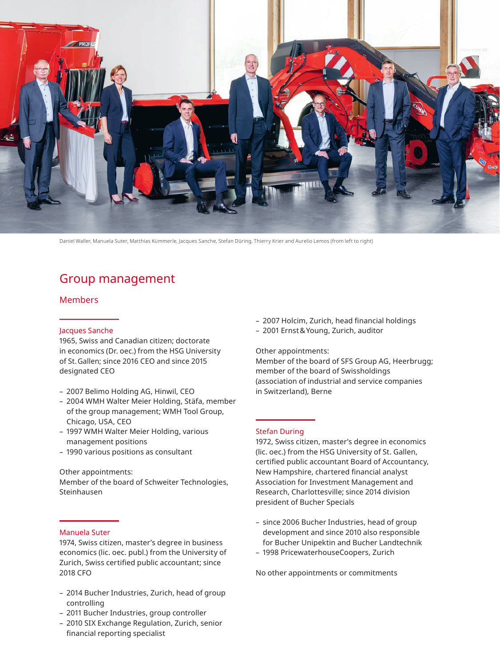

Daniel Waller, Manuela Suter, Matthias Kümmerle, Jacques Sanche, Stefan Düring, Thierry Krier and Aurelio Lemos (from left to right)

# Group management

#### Members

#### Jacques Sanche

1965, Swiss and Canadian citizen; doctorate in economics (Dr. oec.) from the HSG University of St.Gallen; since 2016 CEO and since 2015 designated CEO

- 2007 Belimo Holding AG, Hinwil, CEO
- 2004 WMH Walter Meier Holding, Stäfa, member of the group management; WMH Tool Group, Chicago, USA, CEO
- 1997 WMH Walter Meier Holding, various management positions
- 1990 various positions as consultant

#### Other appointments:

Member of the board of Schweiter Technologies, Steinhausen

#### Manuela Suter

1974, Swiss citizen, master's degree in business economics (lic. oec. publ.) from the University of Zurich, Swiss certified public accountant; since 2018 CFO

- 2014 Bucher Industries, Zurich, head of group controlling
- 2011 Bucher Industries, group controller
- 2010 SIX Exchange Regulation, Zurich, senior financial reporting specialist
- 2007 Holcim, Zurich, head financial holdings
- 2001 Ernst&Young, Zurich, auditor

Other appointments:

Member of the board of SFS Group AG, Heerbrugg; member of the board of Swissholdings (association of industrial and service companies in Switzerland), Berne

#### Stefan During

1972, Swiss citizen, master's degree in economics (lic. oec.) from the HSG University of St. Gallen, certified public accountant Board of Accountancy, New Hampshire, chartered financial analyst Association for Investment Management and Research, Charlottesville; since 2014 division president of Bucher Specials

- since 2006 Bucher Industries, head of group development and since 2010 also responsible for Bucher Unipektin and Bucher Landtechnik
- 1998 PricewaterhouseCoopers, Zurich

No other appointments or commitments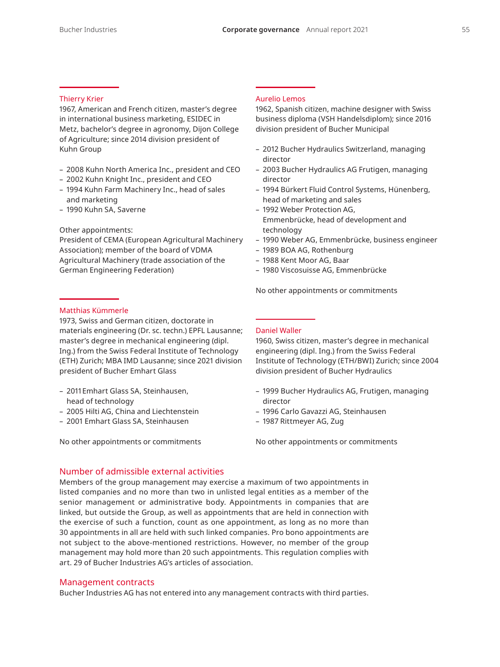#### Thierry Krier

1967, American and French citizen, master's degree in international business marketing, ESIDEC in Metz, bachelor's degree in agronomy, Dijon College of Agriculture; since 2014 division president of Kuhn Group

- 2008 Kuhn North America Inc., president and CEO
- 2002 Kuhn Knight Inc., president and CEO
- 1994 Kuhn Farm Machinery Inc., head of sales and marketing
- 1990 Kuhn SA, Saverne

#### Other appointments:

President of CEMA (European Agricultural Machinery Association); member of the board of VDMA Agricultural Machinery (trade association of the German Engineering Federation)

#### Matthias Kümmerle

1973, Swiss and German citizen, doctorate in materials engineering (Dr. sc. techn.) EPFL Lausanne; master's degree in mechanical engineering (dipl. Ing.) from the Swiss Federal Institute of Technology (ETH) Zurich; MBA IMD Lausanne; since 2021 division president of Bucher Emhart Glass

- 2011Emhart Glass SA, Steinhausen, head of technology
- 2005 Hilti AG, China and Liechtenstein
- 2001 Emhart Glass SA, Steinhausen

No other appointments or commitments

#### Aurelio Lemos

1962, Spanish citizen, machine designer with Swiss business diploma (VSH Handelsdiplom); since 2016 division president of Bucher Municipal

- 2012 Bucher Hydraulics Switzerland, managing director
- 2003 Bucher Hydraulics AG Frutigen, managing director
- 1994 Bürkert Fluid Control Systems, Hünenberg, head of marketing and sales
- 1992 Weber Protection AG, Emmenbrücke, head of development and technology
- 1990 Weber AG, Emmenbrücke, business engineer
- 1989 BOA AG, Rothenburg
- 1988 Kent Moor AG, Baar
- 1980 Viscosuisse AG, Emmenbrücke

No other appointments or commitments

#### Daniel Waller

1960, Swiss citizen, master's degree in mechanical engineering (dipl. Ing.) from the Swiss Federal Institute of Technology (ETH/BWI) Zurich; since 2004 division president of Bucher Hydraulics

- 1999 Bucher Hydraulics AG, Frutigen, managing director
- 1996 Carlo Gavazzi AG, Steinhausen
- 1987 Rittmeyer AG, Zug

No other appointments or commitments

## Number of admissible external activities

Members of the group management may exercise a maximum of two appointments in listed companies and no more than two in unlisted legal entities as a member of the senior management or administrative body. Appointments in companies that are linked, but outside the Group, as well as appointments that are held in connection with the exercise of such a function, count as one appointment, as long as no more than 30 appointments in all are held with such linked companies. Pro bono appointments are not subject to the above-mentioned restrictions. However, no member of the group management may hold more than 20 such appointments. This regulation complies with art. 29 of Bucher Industries AG's articles of association.

#### Management contracts

Bucher Industries AG has not entered into any management contracts with third parties.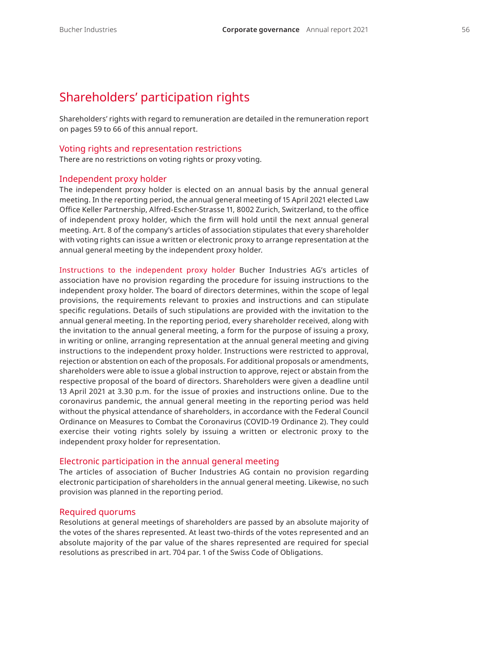## Shareholders' participation rights

Shareholders' rights with regard to remuneration are detailed in the remuneration report on pages 59 to 66 of this annual report.

#### Voting rights and representation restrictions

There are no restrictions on voting rights or proxy voting.

#### Independent proxy holder

The independent proxy holder is elected on an annual basis by the annual general meeting. In the reporting period, the annual general meeting of 15 April 2021 elected Law Office Keller Partnership, Alfred-Escher-Strasse 11, 8002 Zurich, Switzerland, to the office of independent proxy holder, which the firm will hold until the next annual general meeting. Art. 8 of the company's articles of association stipulates that every shareholder with voting rights can issue a written or electronic proxy to arrange representation at the annual general meeting by the independent proxy holder.

Instructions to the independent proxy holder Bucher Industries AG's articles of association have no provision regarding the procedure for issuing instructions to the independent proxy holder. The board of directors determines, within the scope of legal provisions, the requirements relevant to proxies and instructions and can stipulate specific regulations. Details of such stipulations are provided with the invitation to the annual general meeting. In the reporting period, every shareholder received, along with the invitation to the annual general meeting, a form for the purpose of issuing a proxy, in writing or online, arranging representation at the annual general meeting and giving instructions to the independent proxy holder. Instructions were restricted to approval, rejection or abstention on each of the proposals. For additional proposals or amendments, shareholders were able to issue a global instruction to approve, reject or abstain from the respective proposal of the board of directors. Shareholders were given a deadline until 13 April 2021 at 3.30 p.m. for the issue of proxies and instructions online. Due to the coronavirus pandemic, the annual general meeting in the reporting period was held without the physical attendance of shareholders, in accordance with the Federal Council Ordinance on Measures to Combat the Coronavirus (COVID-19 Ordinance 2). They could exercise their voting rights solely by issuing a written or electronic proxy to the independent proxy holder for representation.

#### Electronic participation in the annual general meeting

The articles of association of Bucher Industries AG contain no provision regarding electronic participation of shareholders in the annual general meeting. Likewise, no such provision was planned in the reporting period.

#### Required quorums

Resolutions at general meetings of shareholders are passed by an absolute majority of the votes of the shares represented. At least two-thirds of the votes represented and an absolute majority of the par value of the shares represented are required for special resolutions as prescribed in art. 704 par. 1 of the Swiss Code of Obligations.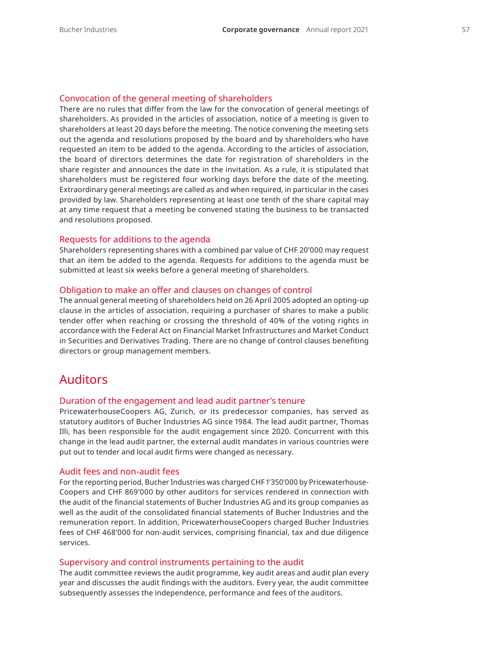### Convocation of the general meeting of shareholders

There are no rules that differ from the law for the convocation of general meetings of shareholders. As provided in the articles of association, notice of a meeting is given to shareholders at least 20 days before the meeting. The notice convening the meeting sets out the agenda and resolutions proposed by the board and by shareholders who have requested an item to be added to the agenda. According to the articles of association, the board of directors determines the date for registration of shareholders in the share register and announces the date in the invitation. As a rule, it is stipulated that shareholders must be registered four working days before the date of the meeting. Extraordinary general meetings are called as and when required, in particular in the cases provided by law. Shareholders representing at least one tenth of the share capital may at any time request that a meeting be convened stating the business to be transacted and resolutions proposed.

#### Requests for additions to the agenda

Shareholders representing shares with a combined par value of CHF 20'000 may request that an item be added to the agenda. Requests for additions to the agenda must be submitted at least six weeks before a general meeting of shareholders.

#### Obligation to make an offer and clauses on changes of control

The annual general meeting of shareholders held on 26 April 2005 adopted an opting-up clause in the articles of association, requiring a purchaser of shares to make a public tender offer when reaching or crossing the threshold of 40% of the voting rights in accordance with the Federal Act on Financial Market Infrastructures and Market Conduct in Securities and Derivatives Trading. There are no change of control clauses benefiting directors or group management members.

## Auditors

#### Duration of the engagement and lead audit partner's tenure

PricewaterhouseCoopers AG, Zurich, or its predecessor companies, has served as statutory auditors of Bucher Industries AG since 1984. The lead audit partner, Thomas Illi, has been responsible for the audit engagement since 2020. Concurrent with this change in the lead audit partner, the external audit mandates in various countries were put out to tender and local audit firms were changed as necessary.

#### Audit fees and non-audit fees

For the reporting period, Bucher Industries was charged CHF 1'350'000 by Pricewaterhouse-Coopers and CHF 869'000 by other auditors for services rendered in connection with the audit of the financial statements of Bucher Industries AG and its group companies as well as the audit of the consolidated financial statements of Bucher Industries and the remuneration report. In addition, PricewaterhouseCoopers charged Bucher Industries fees of CHF 468'000 for non-audit services, comprising financial, tax and due diligence services.

#### Supervisory and control instruments pertaining to the audit

The audit committee reviews the audit programme, key audit areas and audit plan every year and discusses the audit findings with the auditors. Every year, the audit committee subsequently assesses the independence, performance and fees of the auditors.